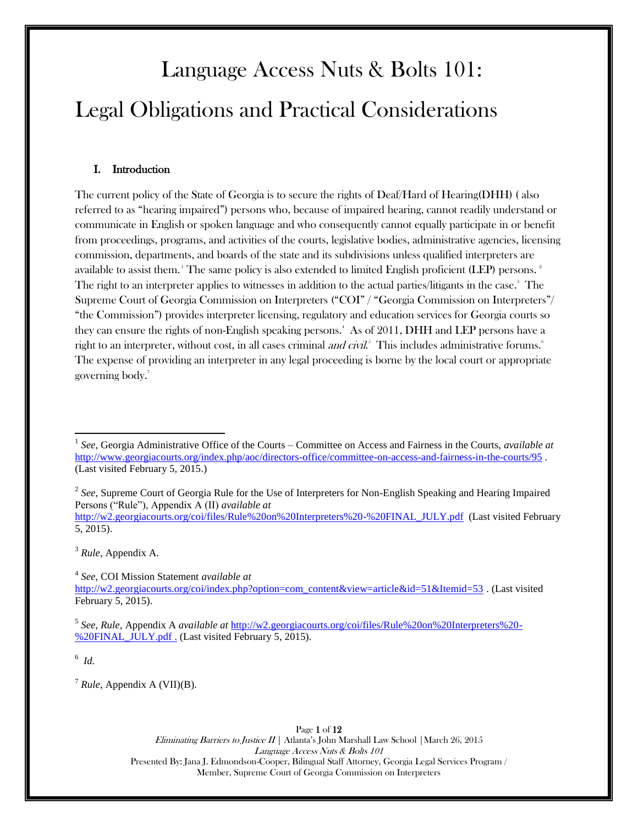# Language Access Nuts & Bolts 101: Legal Obligations and Practical Considerations

## I. Introduction

The current policy of the State of Georgia is to secure the rights of Deaf/Hard of Hearing(DHH) ( also referred to as "hearing impaired") persons who, because of impaired hearing, cannot readily understand or communicate in English or spoken language and who consequently cannot equally participate in or benefit from proceedings, programs, and activities of the courts, legislative bodies, administrative agencies, licensing commission, departments, and boards of the state and its subdivisions unless qualified interpreters are available to assist them. The same policy is also extended to limited English proficient (LEP) persons.  $^{\circ}$ The right to an interpreter applies to witnesses in addition to the actual parties/litigants in the case. 3 The Supreme Court of Georgia Commission on Interpreters ("COI" / "Georgia Commission on Interpreters"/ "the Commission") provides interpreter licensing, regulatory and education services for Georgia courts so they can ensure the rights of non-English speaking persons.<sup>4</sup> As of 2011, DHH and LEP persons have a right to an interpreter, without cost, in all cases criminal *and civil.*<sup>5</sup> This includes administrative forums.<sup>6</sup> The expense of providing an interpreter in any legal proceeding is borne by the local court or appropriate governing body. 7

<sup>2</sup> See, Supreme Court of Georgia Rule for the Use of Interpreters for Non-English Speaking and Hearing Impaired Persons ("Rule"), Appendix A (II) *available at*

[http://w2.georgiacourts.org/coi/files/Rule%20on%20Interpreters%20-%20FINAL\\_JULY.pdf](http://w2.georgiacourts.org/coi/files/Rule%20on%20Interpreters%20-%20FINAL_JULY.pdf) (Last visited February 5, 2015).

<sup>3</sup> *Rule*, Appendix A.

4 *See*, COI Mission Statement *available at* [http://w2.georgiacourts.org/coi/index.php?option=com\\_content&view=article&id=51&Itemid=53](http://w2.georgiacourts.org/coi/index.php?option=com_content&view=article&id=51&Itemid=53) . (Last visited February 5, 2015).

5 *See, Rule,* Appendix A *available at* [http://w2.georgiacourts.org/coi/files/Rule%20on%20Interpreters%20-](http://w2.georgiacourts.org/coi/files/Rule%20on%20Interpreters%20-%20FINAL_JULY.pdf) [%20FINAL\\_JULY.pdf](http://w2.georgiacourts.org/coi/files/Rule%20on%20Interpreters%20-%20FINAL_JULY.pdf) . (Last visited February 5, 2015).

6 *Id.*

 $\overline{\phantom{a}}$ 

<sup>7</sup> *Rule*, Appendix A (VII)(B).

Page 1 of 12 Eliminating Barriers to Justice  $II$  | Atlanta's John Marshall Law School | March 26, 2015 Language Access Nuts & Bolts 101 Presented By: Jana J. Edmondson-Cooper, Bilingual Staff Attorney, Georgia Legal Services Program / Member, Supreme Court of Georgia Commission on Interpreters

<sup>1</sup> *See*, Georgia Administrative Office of the Courts – Committee on Access and Fairness in the Courts, *available at*  <http://www.georgiacourts.org/index.php/aoc/directors-office/committee-on-access-and-fairness-in-the-courts/95> . (Last visited February 5, 2015.)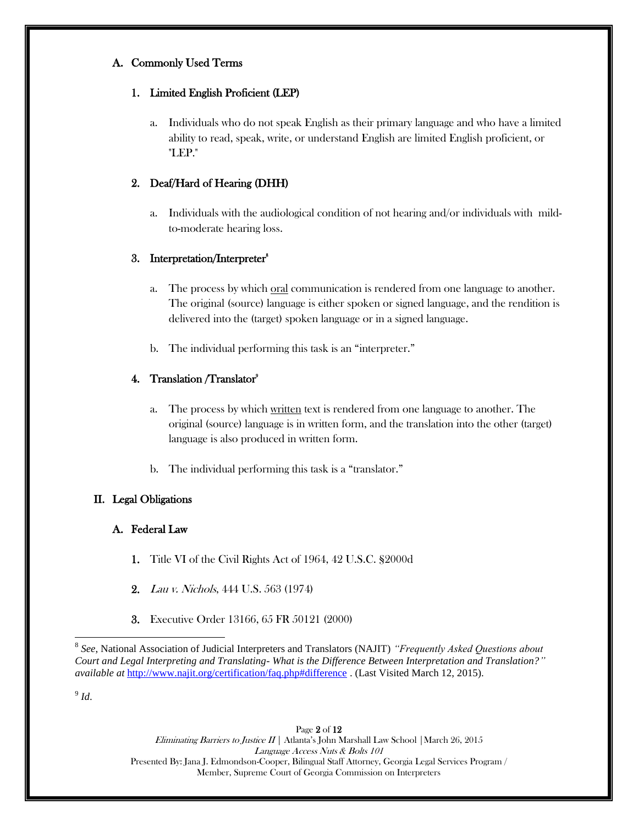# A. Commonly Used Terms

# 1. Limited English Proficient (LEP)

a. Individuals who do not speak English as their primary language and who have a limited ability to read, speak, write, or understand English are limited English proficient, or "LEP."

# 2. Deaf/Hard of Hearing (DHH)

a. Individuals with the audiological condition of not hearing and/or individuals with mildto-moderate hearing loss.

# 3. Interpretation/Interpreter<sup>8</sup>

- a. The process by which <u>oral</u> communication is rendered from one language to another. The original (source) language is either spoken or signed language, and the rendition is delivered into the (target) spoken language or in a signed language.
- b. The individual performing this task is an "interpreter."

# 4. Translation / Translator<sup>9</sup>

- a. The process by which written text is rendered from one language to another. The original (source) language is in written form, and the translation into the other (target) language is also produced in written form.
- b. The individual performing this task is a "translator."

# II. Legal Obligations

# A. Federal Law

- 1. Title VI of the Civil Rights Act of 1964, 42 U.S.C. §2000d
- 2. Lau v. Nichols, 444 U.S. 563 (1974)
- 3. Executive Order 13166, 65 FR 50121 (2000)

9 *Id*.

 $\overline{a}$ 

Page 2 of 12 Eliminating Barriers to Justice  $II \mid$  Atlanta's John Marshall Law School | March 26, 2015 Language Access Nuts & Bolts 101 Presented By: Jana J. Edmondson-Cooper, Bilingual Staff Attorney, Georgia Legal Services Program / Member, Supreme Court of Georgia Commission on Interpreters

<sup>8</sup> *See*, National Association of Judicial Interpreters and Translators (NAJIT) *"Frequently Asked Questions about Court and Legal Interpreting and Translating- What is the Difference Between Interpretation and Translation?" available at* <http://www.najit.org/certification/faq.php#difference> . (Last Visited March 12, 2015).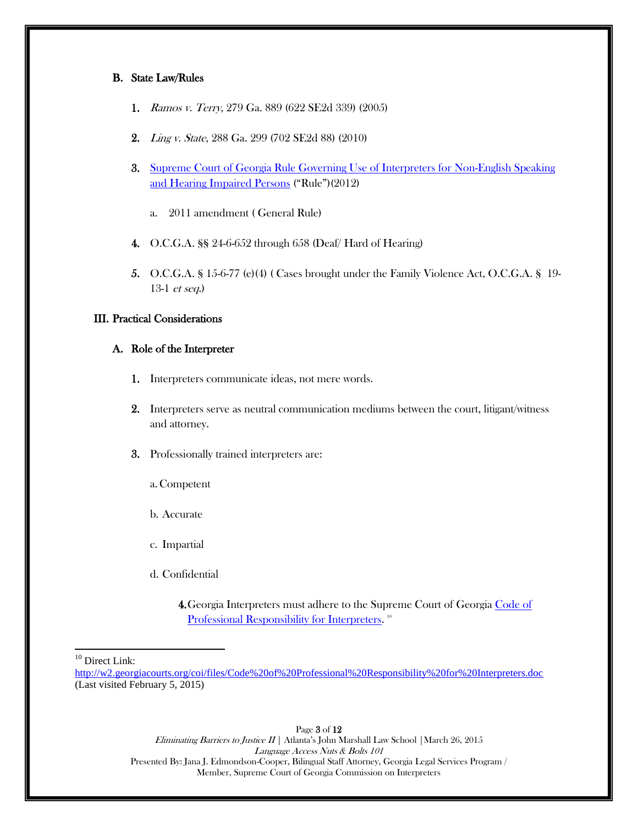## B. State Law/Rules

- 1. Ramos v. Terry, 279 Ga. 889 (622 SE2d 339) (2005)
- 2. Ling v. State, 288 Ga. 299 (702 SE2d 88) (2010)
- 3. [Supreme Court of Georgia Rule Governing Use of Interpreters for Non-English Speaking](http://w2.georgiacourts.org/coi/files/Rule%20on%20Interpreters%20-%20FINAL_JULY.pdf)  [and Hearing Impaired Persons](http://w2.georgiacourts.org/coi/files/Rule%20on%20Interpreters%20-%20FINAL_JULY.pdf) ("Rule")(2012)
	- a. 2011 amendment ( General Rule)
- 4. O.C.G.A. §§ 24-6-652 through 658 (Deaf/ Hard of Hearing)
- 5. O.C.G.A. § 15-6-77 (e)(4) ( Cases brought under the Family Violence Act, O.C.G.A. § 19- 13-1 et seq.)

## III. Practical Considerations

#### A. Role of the Interpreter

- 1. Interpreters communicate ideas, not mere words.
- 2. Interpreters serve as neutral communication mediums between the court, litigant/witness and attorney.
- 3. Professionally trained interpreters are:
	- a.Competent
	- b. Accurate
	- c. Impartial
	- d. Confidential
		- 4. Georgia Interpreters must adhere to the Supreme Court of Georgia Code of [Professional Responsibility for Interpreters.](http://w2.georgiacourts.org/coi/files/Code%20of%20Professional%20Responsibility%20for%20Interpreters.doc)<sup>10</sup>

<sup>10</sup> Direct Link:

 $\overline{\phantom{a}}$ 

Page 3 of 12 Eliminating Barriers to Justice  $II$  | Atlanta's John Marshall Law School | March 26, 2015 Language Access Nuts & Bolts 101 Presented By: Jana J. Edmondson-Cooper, Bilingual Staff Attorney, Georgia Legal Services Program / Member, Supreme Court of Georgia Commission on Interpreters

<http://w2.georgiacourts.org/coi/files/Code%20of%20Professional%20Responsibility%20for%20Interpreters.doc> (Last visited February 5, 2015)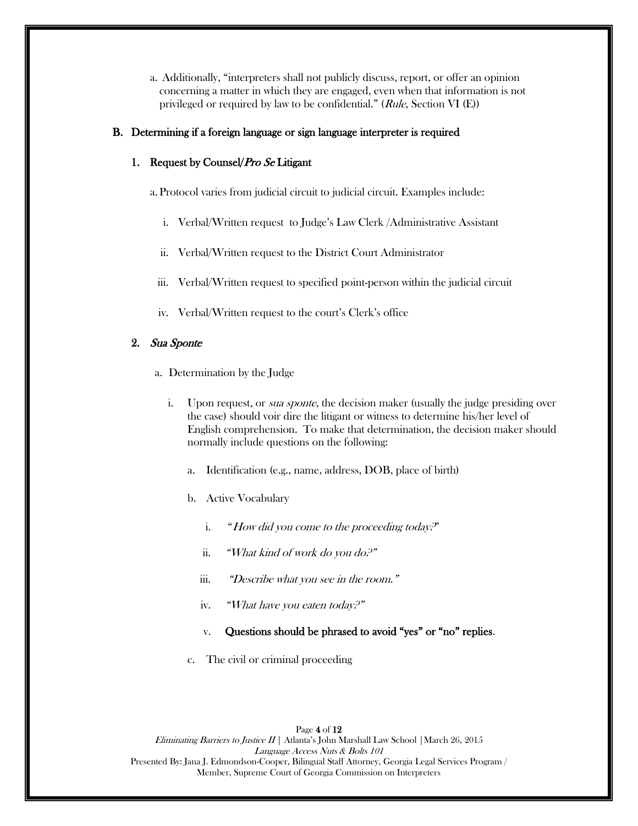a. Additionally, "interpreters shall not publicly discuss, report, or offer an opinion concerning a matter in which they are engaged, even when that information is not privileged or required by law to be confidential."  $(Rule, Section VI(E))$ 

## B. Determining if a foreign language or sign language interpreter is required

## 1. Request by Counsel/Pro Se Litigant

a. Protocol varies from judicial circuit to judicial circuit. Examples include:

- i. Verbal/Written request to Judge's Law Clerk /Administrative Assistant
- ii. Verbal/Written request to the District Court Administrator
- iii. Verbal/Written request to specified point-person within the judicial circuit
- iv. Verbal/Written request to the court's Clerk's office

# 2. Sua Sponte

- a. Determination by the Judge
	- i. Upon request, or *sua sponte*, the decision maker (usually the judge presiding over the case) should voir dire the litigant or witness to determine his/her level of English comprehension. To make that determination, the decision maker should normally include questions on the following:
		- a. Identification (e.g., name, address, DOB, place of birth)
		- b. Active Vocabulary
			- i. "How did you come to the proceeding today."
			- ii. "What kind of work do you do?"
			- iii. "Describe what you see in the room."
			- iv. "What have you eaten today?"
			- v. Questions should be phrased to avoid "yes" or "no" replies.
		- c. The civil or criminal proceeding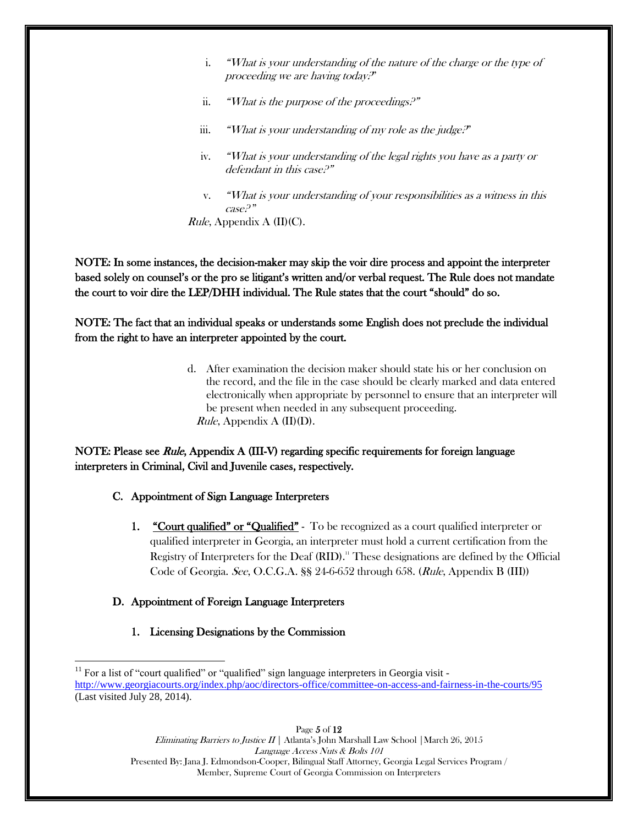- i. "What is your understanding of the nature of the charge or the type of proceeding we are having today?"
- ii. "What is the purpose of the proceedings. $P''$
- iii. "What is your understanding of my role as the judge."
- iv. "What is your understanding of the legal rights you have as a party or defendant in this case?"
- v. "What is your understanding of your responsibilities as a witness in this case? "

*Rule*, Appendix A  $(II)(C)$ .

NOTE: In some instances, the decision-maker may skip the voir dire process and appoint the interpreter based solely on counsel's or the pro se litigant's written and/or verbal request. The Rule does not mandate the court to voir dire the LEP/DHH individual. The Rule states that the court "should" do so.

NOTE: The fact that an individual speaks or understands some English does not preclude the individual from the right to have an interpreter appointed by the court.

> d. After examination the decision maker should state his or her conclusion on the record, and the file in the case should be clearly marked and data entered electronically when appropriate by personnel to ensure that an interpreter will be present when needed in any subsequent proceeding. *Rule*, Appendix A  $(II)(D)$ .

# NOTE: Please see *Rule*, Appendix A (III-V) regarding specific requirements for foreign language interpreters in Criminal, Civil and Juvenile cases, respectively.

# C. Appointment of Sign Language Interpreters

1. "Court qualified" or "Qualified" - To be recognized as a court qualified interpreter or qualified interpreter in Georgia, an interpreter must hold a current certification from the Registry of Interpreters for the Deaf (RID).<sup>11</sup> These designations are defined by the Official Code of Georgia. See, O.C.G.A. §§ 24-6-652 through 658. (Rule, Appendix B (III))

# D. Appointment of Foreign Language Interpreters

1. Licensing Designations by the Commission

Page 5 of 12 Eliminating Barriers to Justice  $II \mid$  Atlanta's John Marshall Law School | March 26, 2015 Language Access Nuts & Bolts 101 Presented By: Jana J. Edmondson-Cooper, Bilingual Staff Attorney, Georgia Legal Services Program / Member, Supreme Court of Georgia Commission on Interpreters

l  $11$  For a list of "court qualified" or "qualified" sign language interpreters in Georgia visit <http://www.georgiacourts.org/index.php/aoc/directors-office/committee-on-access-and-fairness-in-the-courts/95> (Last visited July 28, 2014).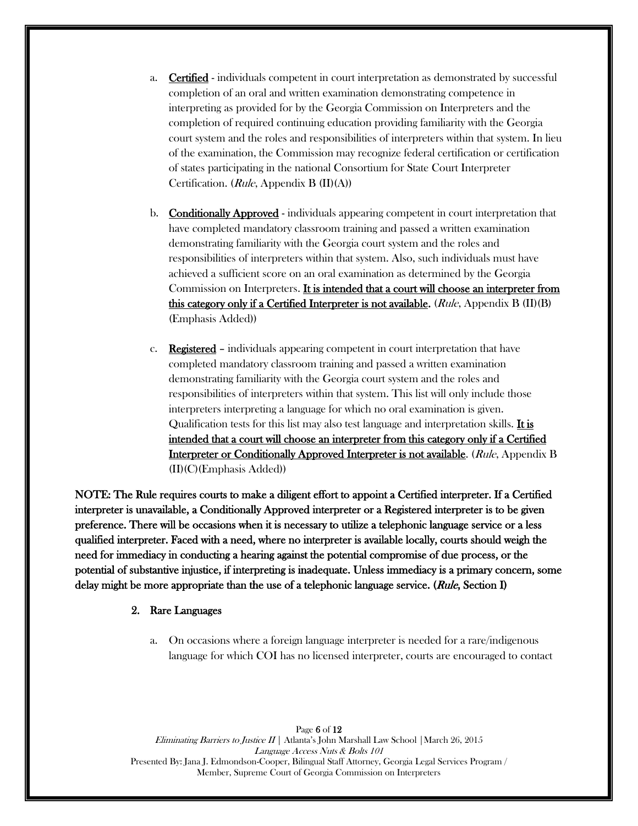- a. **Certified** individuals competent in court interpretation as demonstrated by successful completion of an oral and written examination demonstrating competence in interpreting as provided for by the Georgia Commission on Interpreters and the completion of required continuing education providing familiarity with the Georgia court system and the roles and responsibilities of interpreters within that system. In lieu of the examination, the Commission may recognize federal certification or certification of states participating in the national Consortium for State Court Interpreter Certification. (Rule, Appendix B (II)(A))
- b. Conditionally Approved individuals appearing competent in court interpretation that have completed mandatory classroom training and passed a written examination demonstrating familiarity with the Georgia court system and the roles and responsibilities of interpreters within that system. Also, such individuals must have achieved a sufficient score on an oral examination as determined by the Georgia Commission on Interpreters. It is intended that a court will choose an interpreter from this category only if a Certified Interpreter is not available. (Rule, Appendix B (II)(B) (Emphasis Added))
- c. Registered individuals appearing competent in court interpretation that have completed mandatory classroom training and passed a written examination demonstrating familiarity with the Georgia court system and the roles and responsibilities of interpreters within that system. This list will only include those interpreters interpreting a language for which no oral examination is given. Qualification tests for this list may also test language and interpretation skills. It is intended that a court will choose an interpreter from this category only if a Certified Interpreter or Conditionally Approved Interpreter is not available. (Rule, Appendix B (II)(C)(Emphasis Added))

NOTE: The Rule requires courts to make a diligent effort to appoint a Certified interpreter. If a Certified interpreter is unavailable, a Conditionally Approved interpreter or a Registered interpreter is to be given preference. There will be occasions when it is necessary to utilize a telephonic language service or a less qualified interpreter. Faced with a need, where no interpreter is available locally, courts should weigh the need for immediacy in conducting a hearing against the potential compromise of due process, or the potential of substantive injustice, if interpreting is inadequate. Unless immediacy is a primary concern, some delay might be more appropriate than the use of a telephonic language service. (Rule, Section I)

#### 2. Rare Languages

a. On occasions where a foreign language interpreter is needed for a rare/indigenous language for which COI has no licensed interpreter, courts are encouraged to contact

Page 6 of 12 Eliminating Barriers to Justice  $II \mid$  Atlanta's John Marshall Law School | March 26, 2015 Language Access Nuts & Bolts 101 Presented By: Jana J. Edmondson-Cooper, Bilingual Staff Attorney, Georgia Legal Services Program / Member, Supreme Court of Georgia Commission on Interpreters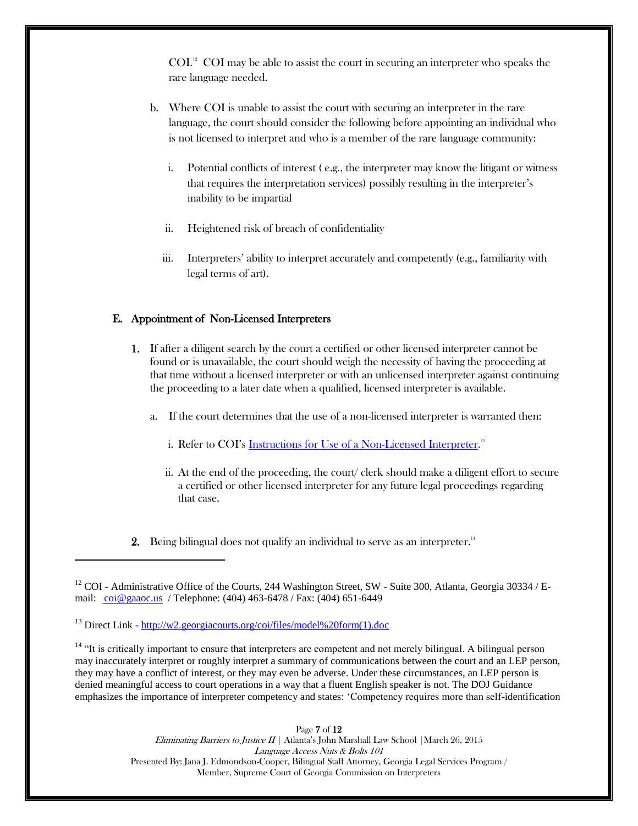$COL<sup>12</sup> COI$  may be able to assist the court in securing an interpreter who speaks the rare language needed.

- b. Where COI is unable to assist the court with securing an interpreter in the rare language, the court should consider the following before appointing an individual who is not licensed to interpret and who is a member of the rare language community:
	- i. Potential conflicts of interest ( e.g., the interpreter may know the litigant or witness that requires the interpretation services) possibly resulting in the interpreter's inability to be impartial
	- ii. Heightened risk of breach of confidentiality
	- iii. Interpreters' ability to interpret accurately and competently (e.g., familiarity with legal terms of art).

## E. Appointment of Non-Licensed Interpreters

- 1. If after a diligent search by the court a certified or other licensed interpreter cannot be found or is unavailable, the court should weigh the necessity of having the proceeding at that time without a licensed interpreter or with an unlicensed interpreter against continuing the proceeding to a later date when a qualified, licensed interpreter is available.
	- a. If the court determines that the use of a non-licensed interpreter is warranted then:
		- i. Refer to COI's <u>Instructions for Use of a Non-Licensed Interpreter</u>.<sup>13</sup>
		- ii. At the end of the proceeding, the court/ clerk should make a diligent effort to secure a certified or other licensed interpreter for any future legal proceedings regarding that case.
- **2.** Being bilingual does not qualify an individual to serve as an interpreter.<sup>14</sup>

 $12$  COI - Administrative Office of the Courts, 244 Washington Street, SW - Suite 300, Atlanta, Georgia 30334 / Email: [coi@gaaoc.us](mailto:coi@gaaoc.us) / Telephone: (404) 463-6478 / Fax: (404) 651-6449

<sup>13</sup> Direct Link - [http://w2.georgiacourts.org/coi/files/model%20form\(1\).doc](http://w2.georgiacourts.org/coi/files/model%20form(1).doc)

 $\overline{\phantom{a}}$ 

<sup>14</sup> "It is critically important to ensure that interpreters are competent and not merely bilingual. A bilingual person may inaccurately interpret or roughly interpret a summary of communications between the court and an LEP person, they may have a conflict of interest, or they may even be adverse. Under these circumstances, an LEP person is denied meaningful access to court operations in a way that a fluent English speaker is not. The DOJ Guidance emphasizes the importance of interpreter competency and states: 'Competency requires more than self-identification

> Page 7 of 12 Eliminating Barriers to Justice  $II$  | Atlanta's John Marshall Law School | March 26, 2015 Language Access Nuts & Bolts 101 Presented By: Jana J. Edmondson-Cooper, Bilingual Staff Attorney, Georgia Legal Services Program / Member, Supreme Court of Georgia Commission on Interpreters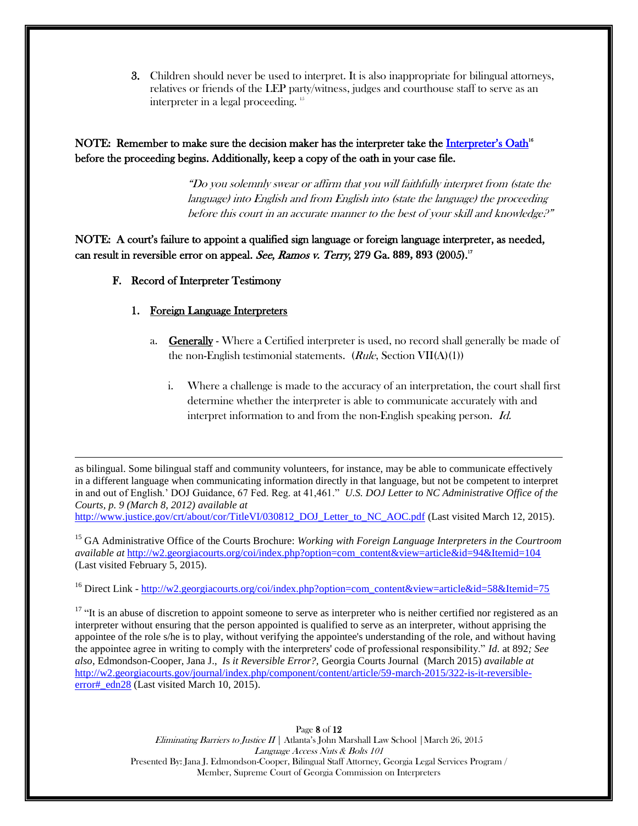3. Children should never be used to interpret. It is also inappropriate for bilingual attorneys, relatives or friends of the LEP party/witness, judges and courthouse staff to serve as an interpreter in a legal proceeding. <sup>15</sup>

NOTE: Remember to make sure the decision maker has the interpreter take the *[Interpreter's Oath](http://w2.georgiacourts.org/coi/index.php?option=com_content&view=article&id=58&Itemid=75)*<sup>16</sup> before the proceeding begins. Additionally, keep a copy of the oath in your case file.

> "Do you solemnly swear or affirm that you will faithfully interpret from (state the language) into English and from English into (state the language) the proceeding before this court in an accurate manner to the best of your skill and knowledge.<sup>9"</sup>

NOTE: A court's failure to appoint a qualified sign language or foreign language interpreter, as needed, can result in reversible error on appeal. See, Ramos v. Terry, 279 Ga. **889, 893** (2005).<sup>17</sup>

## F. Record of Interpreter Testimony

 $\overline{\phantom{a}}$ 

## 1. Foreign Language Interpreters

- a. Generally Where a Certified interpreter is used, no record shall generally be made of the non-English testimonial statements. ( $Rule$ , Section VII(A)(1))
	- i. Where a challenge is made to the accuracy of an interpretation, the court shall first determine whether the interpreter is able to communicate accurately with and interpret information to and from the non-English speaking person. Id.

as bilingual. Some bilingual staff and community volunteers, for instance, may be able to communicate effectively in a different language when communicating information directly in that language, but not be competent to interpret in and out of English.' DOJ Guidance, 67 Fed. Reg. at 41,461." *U.S. DOJ Letter to NC Administrative Office of the Courts, p. 9 (March 8, 2012) available at* 

[http://www.justice.gov/crt/about/cor/TitleVI/030812\\_DOJ\\_Letter\\_to\\_NC\\_AOC.pdf](http://www.justice.gov/crt/about/cor/TitleVI/030812_DOJ_Letter_to_NC_AOC.pdf) (Last visited March 12, 2015).

<sup>15</sup> GA Administrative Office of the Courts Brochure: *Working with Foreign Language Interpreters in the Courtroom available at* [http://w2.georgiacourts.org/coi/index.php?option=com\\_content&view=article&id=94&Itemid=104](http://w2.georgiacourts.org/coi/index.php?option=com_content&view=article&id=94&Itemid=104)  (Last visited February 5, 2015).

<sup>16</sup> Direct Link - [http://w2.georgiacourts.org/coi/index.php?option=com\\_content&view=article&id=58&Itemid=75](http://w2.georgiacourts.org/coi/index.php?option=com_content&view=article&id=58&Itemid=75)

 $17$  "It is an abuse of discretion to appoint someone to serve as interpreter who is neither certified nor registered as an interpreter without ensuring that the person appointed is qualified to serve as an interpreter, without apprising the appointee of the role s/he is to play, without verifying the appointee's understanding of the role, and without having the appointee agree in writing to comply with the interpreters' code of professional responsibility." *Id.* at 892*; See also*, Edmondson-Cooper, Jana J., *I*s *it Reversible Error?,* Georgia Courts Journal (March 2015) *available at* [http://w2.georgiacourts.gov/journal/index.php/component/content/article/59-march-2015/322-is-it-reversible](http://w2.georgiacourts.gov/journal/index.php/component/content/article/59-march-2015/322-is-it-reversible-error#_edn28)error# edn28 (Last visited March 10, 2015).

> Page 8 of 12 Eliminating Barriers to Justice  $II$  | Atlanta's John Marshall Law School | March 26, 2015 Language Access Nuts & Bolts 101 Presented By: Jana J. Edmondson-Cooper, Bilingual Staff Attorney, Georgia Legal Services Program / Member, Supreme Court of Georgia Commission on Interpreters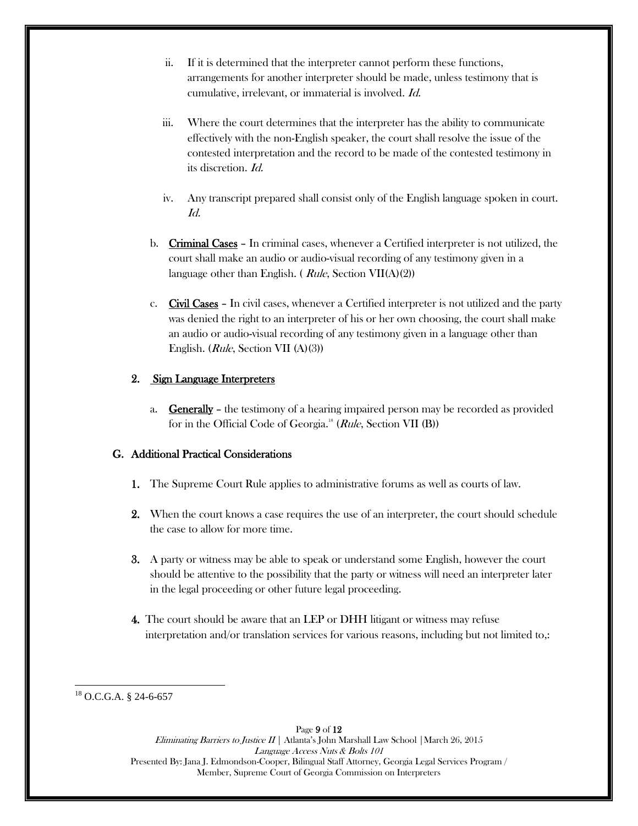- ii. If it is determined that the interpreter cannot perform these functions, arrangements for another interpreter should be made, unless testimony that is cumulative, irrelevant, or immaterial is involved. Id.
- iii. Where the court determines that the interpreter has the ability to communicate effectively with the non-English speaker, the court shall resolve the issue of the contested interpretation and the record to be made of the contested testimony in its discretion. Id.
- iv. Any transcript prepared shall consist only of the English language spoken in court. Id.
- b. Criminal Cases In criminal cases, whenever a Certified interpreter is not utilized, the court shall make an audio or audio-visual recording of any testimony given in a language other than English. (*Rule*, Section VII(A)(2))
- c. Civil Cases In civil cases, whenever a Certified interpreter is not utilized and the party was denied the right to an interpreter of his or her own choosing, the court shall make an audio or audio-visual recording of any testimony given in a language other than English. (Rule, Section VII (A)(3))

# 2. Sign Language Interpreters

a. Generally – the testimony of a hearing impaired person may be recorded as provided for in the Official Code of Georgia.<sup>18</sup> (Rule, Section VII (B))

## G. Additional Practical Considerations

- 1. The Supreme Court Rule applies to administrative forums as well as courts of law.
- 2. When the court knows a case requires the use of an interpreter, the court should schedule the case to allow for more time.
- 3. A party or witness may be able to speak or understand some English, however the court should be attentive to the possibility that the party or witness will need an interpreter later in the legal proceeding or other future legal proceeding.
- 4. The court should be aware that an LEP or DHH litigant or witness may refuse interpretation and/or translation services for various reasons, including but not limited to,:

 $\overline{\phantom{a}}$ <sup>18</sup> O.C.G.A. § 24-6-657

> Page 9 of 12 Eliminating Barriers to Justice  $II \mid$  Atlanta's John Marshall Law School | March 26, 2015 Language Access Nuts & Bolts 101 Presented By: Jana J. Edmondson-Cooper, Bilingual Staff Attorney, Georgia Legal Services Program / Member, Supreme Court of Georgia Commission on Interpreters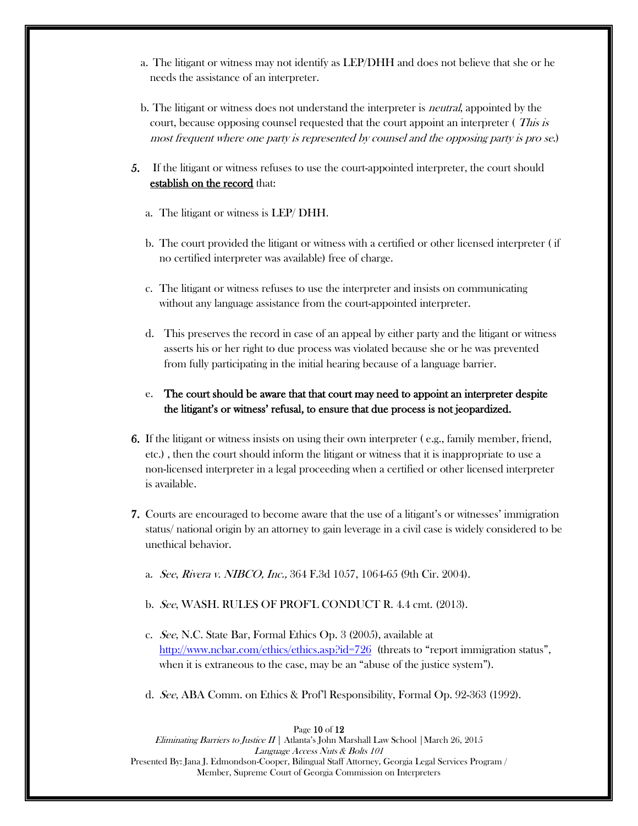- a. The litigant or witness may not identify as LEP/DHH and does not believe that she or he needs the assistance of an interpreter.
- b. The litigant or witness does not understand the interpreter is neutral, appointed by the court, because opposing counsel requested that the court appoint an interpreter (*This is* most frequent where one party is represented by counsel and the opposing party is pro se.)
- 5. If the litigant or witness refuses to use the court-appointed interpreter, the court should establish on the record that:
	- a. The litigant or witness is LEP/ DHH.
	- b. The court provided the litigant or witness with a certified or other licensed interpreter ( if no certified interpreter was available) free of charge.
	- c. The litigant or witness refuses to use the interpreter and insists on communicating without any language assistance from the court-appointed interpreter.
	- d. This preserves the record in case of an appeal by either party and the litigant or witness asserts his or her right to due process was violated because she or he was prevented from fully participating in the initial hearing because of a language barrier.
	- e. The court should be aware that that court may need to appoint an interpreter despite the litigant's or witness' refusal, to ensure that due process is not jeopardized.
- 6. If the litigant or witness insists on using their own interpreter ( e.g., family member, friend, etc.) , then the court should inform the litigant or witness that it is inappropriate to use a non-licensed interpreter in a legal proceeding when a certified or other licensed interpreter is available.
- 7. Courts are encouraged to become aware that the use of a litigant's or witnesses' immigration status/ national origin by an attorney to gain leverage in a civil case is widely considered to be unethical behavior.
	- a. See, Rivera v. NIBCO, Inc., 364 F.3d 1057, 1064-65 (9th Cir. 2004).
	- b. See, WASH. RULES OF PROF'L CONDUCT R. 4.4 cmt. (2013).
	- c. See, N.C. State Bar, Formal Ethics Op. 3 (2005), available at <http://www.ncbar.com/ethics/ethics.asp?id=726>(threats to "report immigration status", when it is extraneous to the case, may be an "abuse of the justice system").
	- d. See, ABA Comm. on Ethics & Prof'l Responsibility, Formal Op. 92-363 (1992).

Eliminating Barriers to Justice  $II \mid$  Atlanta's John Marshall Law School | March 26, 2015 Language Access Nuts & Bolts 101 Presented By: Jana J. Edmondson-Cooper, Bilingual Staff Attorney, Georgia Legal Services Program / Member, Supreme Court of Georgia Commission on Interpreters

#### Page 10 of 12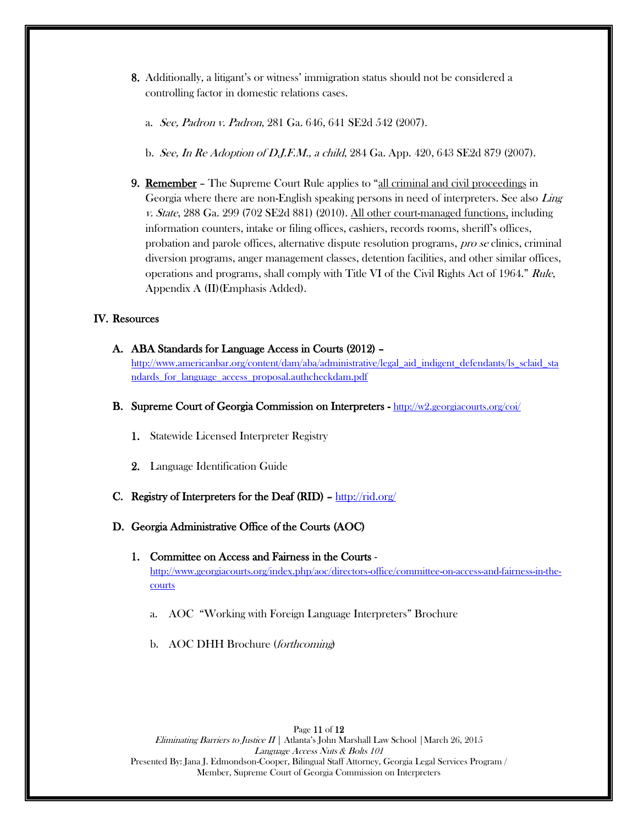- 8. Additionally, a litigant's or witness' immigration status should not be considered a controlling factor in domestic relations cases.
	- a. See, Padron v. Padron, 281 Ga. 646, 641 SE2d 542 (2007).
	- b. See, In Re Adoption of D.J.F.M., a child, 284 Ga. App. 420, 643 SE2d 879 (2007).
- 9. Remember The Supreme Court Rule applies to "all criminal and civil proceedings in Georgia where there are non-English speaking persons in need of interpreters. See also Ling v. State, 288 Ga. 299 (702 SE2d 881) (2010). All other court-managed functions, including information counters, intake or filing offices, cashiers, records rooms, sheriff's offices, probation and parole offices, alternative dispute resolution programs, pro se clinics, criminal diversion programs, anger management classes, detention facilities, and other similar offices, operations and programs, shall comply with Title VI of the Civil Rights Act of 1964." Rule, Appendix A (II)(Emphasis Added).

## IV. Resources

- A. ABA Standards for Language Access in Courts (2012) [http://www.americanbar.org/content/dam/aba/administrative/legal\\_aid\\_indigent\\_defendants/ls\\_sclaid\\_sta](http://www.americanbar.org/content/dam/aba/administrative/legal_aid_indigent_defendants/ls_sclaid_standards_for_language_access_proposal.authcheckdam.pdf) [ndards\\_for\\_language\\_access\\_proposal.authcheckdam.pdf](http://www.americanbar.org/content/dam/aba/administrative/legal_aid_indigent_defendants/ls_sclaid_standards_for_language_access_proposal.authcheckdam.pdf)
- B. Supreme Court of Georgia Commission on Interpreters <http://w2.georgiacourts.org/coi/>
	- 1. Statewide Licensed Interpreter Registry
	- 2. Language Identification Guide
- C. Registry of Interpreters for the Deaf (RID)  $\frac{http://rid.org/}{http://rid.org/}$

### D. Georgia Administrative Office of the Courts (AOC)

- 1. Committee on Access and Fairness in the Courts [http://www.georgiacourts.org/index.php/aoc/directors-office/committee-on-access-and-fairness-in-the](http://www.georgiacourts.org/index.php/aoc/directors-office/committee-on-access-and-fairness-in-the-courts)[courts](http://www.georgiacourts.org/index.php/aoc/directors-office/committee-on-access-and-fairness-in-the-courts)
	- a. AOC "Working with Foreign Language Interpreters" Brochure
	- b. AOC DHH Brochure (forthcoming)

Page 11 of 12 Eliminating Barriers to Justice  $II \mid$  Atlanta's John Marshall Law School | March 26, 2015 Language Access Nuts & Bolts 101 Presented By: Jana J. Edmondson-Cooper, Bilingual Staff Attorney, Georgia Legal Services Program / Member, Supreme Court of Georgia Commission on Interpreters